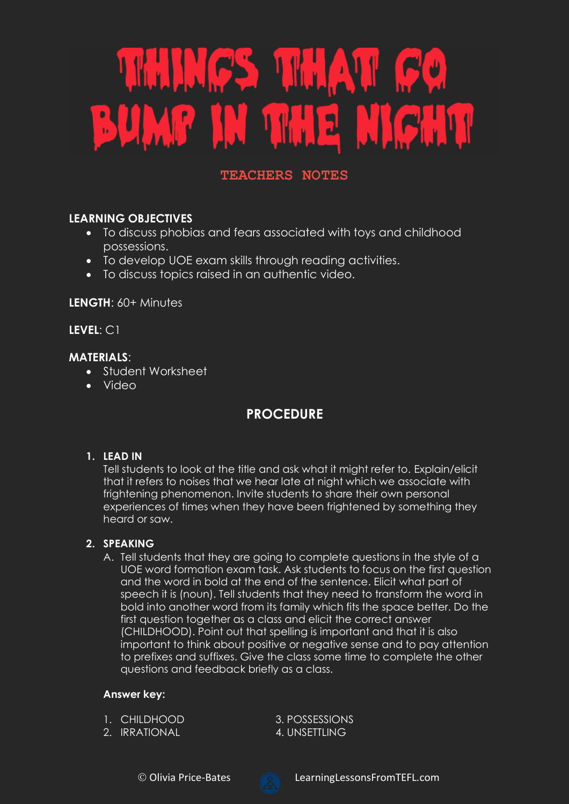# THINGS THAT GO BUMP IN THE NIGHT

# **TEACHERS NOTES**

# **LEARNING OBJECTIVES**

- To discuss phobias and fears associated with toys and childhood possessions.
- To develop UOE exam skills through reading activities.
- To discuss topics raised in an authentic video.

**LENGTH**: 60+ Minutes

**LEVEL**: C1

# **MATERIALS**:

- Student Worksheet
- Video

# **PROCEDURE**

## **1. LEAD IN**

Tell students to look at the title and ask what it might refer to. Explain/elicit that it refers to noises that we hear late at night which we associate with frightening phenomenon. Invite students to share their own personal experiences of times when they have been frightened by something they heard or saw.

## **2. SPEAKING**

A. Tell students that they are going to complete questions in the style of a UOE word formation exam task. Ask students to focus on the first question and the word in bold at the end of the sentence. Elicit what part of speech it is (noun). Tell students that they need to transform the word in bold into another word from its family which fits the space better. Do the first question together as a class and elicit the correct answer (CHILDHOOD). Point out that spelling is important and that it is also important to think about positive or negative sense and to pay attention to prefixes and suffixes. Give the class some time to complete the other questions and feedback briefly as a class.

## **Answer key:**

- 1. CHILDHOOD 3. POSSESSIONS
- 2. IRRATIONAL 4. UNSETTLING

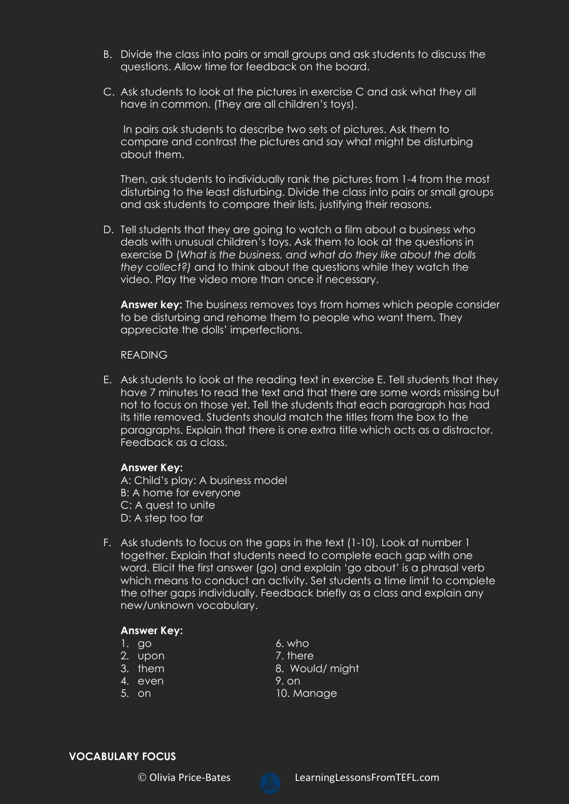- B. Divide the class into pairs or small groups and ask students to discuss the questions. Allow time for feedback on the board.
- C. Ask students to look at the pictures in exercise C and ask what they all have in common. (They are all children's toys).

In pairs ask students to describe two sets of pictures. Ask them to compare and contrast the pictures and say what might be disturbing about them.

Then, ask students to individually rank the pictures from 1-4 from the most disturbing to the least disturbing. Divide the class into pairs or small groups and ask students to compare their lists, justifying their reasons.

D. Tell students that they are going to watch a film about a business who deals with unusual children's toys. Ask them to look at the questions in exercise D (*What is the business, and what do they like about the dolls they collect?)* and to think about the questions while they watch the video. Play the video more than once if necessary.

**Answer key:** The business removes toys from homes which people consider to be disturbing and rehome them to people who want them. They appreciate the dolls' imperfections.

#### READING

E. Ask students to look at the reading text in exercise E. Tell students that they have 7 minutes to read the text and that there are some words missing but not to focus on those yet. Tell the students that each paragraph has had its title removed. Students should match the titles from the box to the paragraphs. Explain that there is one extra title which acts as a distractor. Feedback as a class.

#### **Answer Key:**

A: Child's play: A business model B: A home for everyone C: A quest to unite D: A step too far

F. Ask students to focus on the gaps in the text (1-10). Look at number 1 together. Explain that students need to complete each gap with one word. Elicit the first answer (go) and explain 'go about' is a phrasal verb which means to conduct an activity. Set students a time limit to complete the other gaps individually. Feedback briefly as a class and explain any new/unknown vocabulary.

#### **Answer Key:**

- $1.$  go 6. who
- 2. upon 2. T. there
- 
- 
- 
- 
- 
- 3. them 8. Would/ might
- 
- 4. even 9. on 5. on 10. Manage

#### **VOCABULARY FOCUS**